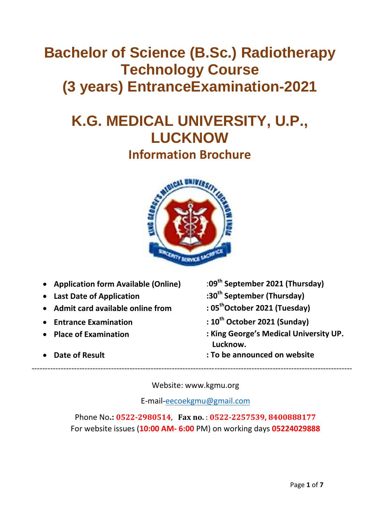# **Bachelor of Science (B.Sc.) Radiotherapy Technology Course (3 years) EntranceExamination-2021**

# **K.G. MEDICAL UNIVERSITY, U.P., LUCKNOW Information Brochure**



- **Application form Available (Online)** :**09th September 2021 (Thursday)**
- 
- **Admit card available online from : 05**
- **Entrance Examination : 10**
- 
- 
- 
- **Last Date of Application :30th September (Thursday)**
	- **thOctober 2021 (Tuesday)**
	- **th October 2021 (Sunday)**
- **Place of Examination : King George's Medical University UP. Lucknow.**
	- **Date of Result : To be announced on website**

Website: www.kgmu.org

---------------------------------------------------------------------------------------------------------------------------

E-mail[-eecoekgmu@gmail.com](mailto:eecoekgmu@gmail.com)

Phone No**.: 0522‐2980514**, **Fax no.** : **0522‐2257539, 8400888177** For website issues (**10:00 AM- 6:00** PM) on working days **05224029888**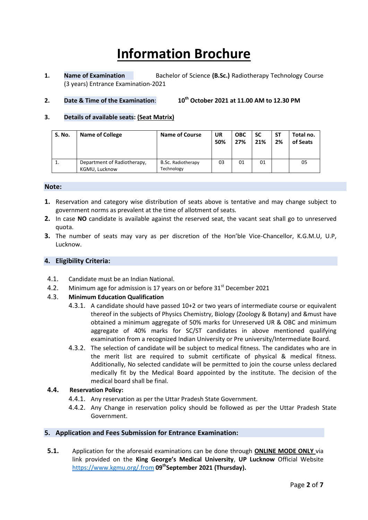# **Information Brochure**

**1. Name of Examination** Bachelor of Science **(B.Sc.)** Radiotherapy Technology Course (3 years) Entrance Examination-2021

## **2. Date & Time of the Examination**: **10th October 2021 at 11.00 AM to 12.30 PM**

#### **3. Details of available seats: (Seat Matrix)**

| S. No. | <b>Name of College</b>                       | <b>Name of Course</b>            | UR<br>50% | <b>OBC</b><br>27% | <b>SC</b><br>21% | <b>ST</b><br>2% | Total no.<br>of Seats |
|--------|----------------------------------------------|----------------------------------|-----------|-------------------|------------------|-----------------|-----------------------|
| ⊥.     | Department of Radiotherapy,<br>KGMU, Lucknow | B.Sc. Radiotherapy<br>Technology | 03        | 01                | 01               |                 | 05                    |

#### **Note:**

- **1.** Reservation and category wise distribution of seats above is tentative and may change subject to government norms as prevalent at the time of allotment of seats.
- **2.** In case **NO** candidate is available against the reserved seat, the vacant seat shall go to unreserved quota.
- **3.** The number of seats may vary as per discretion of the Hon'ble Vice-Chancellor, K.G.M.U, U.P, Lucknow.

#### **4. Eligibility Criteria:**

- 4.1. Candidate must be an Indian National.
- 4.2. Minimum age for admission is 17 years on or before 31<sup>st</sup> December 2021

#### 4.3. **Minimum Education Qualification**

- 4.3.1. A candidate should have passed 10+2 or two years of intermediate course or equivalent thereof in the subjects of Physics Chemistry, Biology (Zoology & Botany) and &must have obtained a minimum aggregate of 50% marks for Unreserved UR & OBC and minimum aggregate of 40% marks for SC/ST candidates in above mentioned qualifying examination from a recognized Indian University or Pre university/Intermediate Board.
- 4.3.2. The selection of candidate will be subject to medical fitness. The candidates who are in the merit list are required to submit certificate of physical & medical fitness. Additionally, No selected candidate will be permitted to join the course unless declared medically fit by the Medical Board appointed by the institute. The decision of the medical board shall be final.

#### **4.4. Reservation Policy:**

- 4.4.1. Any reservation as per the Uttar Pradesh State Government.
- 4.4.2. Any Change in reservation policy should be followed as per the Uttar Pradesh State Government.

#### **5. Application and Fees Submission for Entrance Examination:**

**5.1.** Application for the aforesaid examinations can be done through **ONLINE MODE ONLY** via link provided on the **King George's Medical University**, **UP Lucknow** Official Website <https://www.kgmu.org/.from> **09thSeptember 2021 (Thursday).**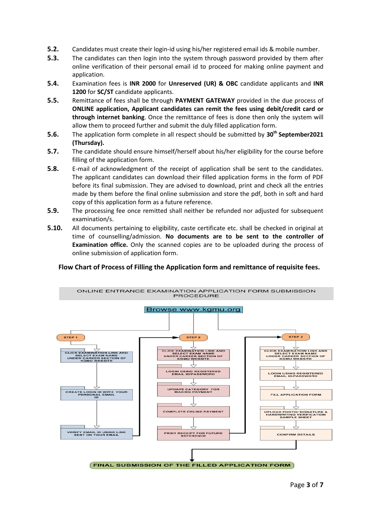- **5.2.** Candidates must create their login-id using his/her registered email ids & mobile number.
- **5.3.** The candidates can then login into the system through password provided by them after online verification of their personal email id to proceed for making online payment and application.
- **5.4.** Examination fees is **INR 2000** for **Unreserved (UR) & OBC** candidate applicants and **INR 1200** for **SC/ST** candidate applicants.
- **5.5.** Remittance of fees shall be through **PAYMENT GATEWAY** provided in the due process of **ONLINE application, Applicant candidates can remit the fees using debit/credit card or through internet banking**. Once the remittance of fees is done then only the system will allow them to proceed further and submit the duly filled application form.
- **5.6.** The application form complete in all respect should be submitted by **30th September2021 (Thursday).**
- **5.7.** The candidate should ensure himself/herself about his/her eligibility for the course before filling of the application form.
- **5.8.** E-mail of acknowledgment of the receipt of application shall be sent to the candidates. The applicant candidates can download their filled application forms in the form of PDF before its final submission. They are advised to download, print and check all the entries made by them before the final online submission and store the pdf, both in soft and hard copy of this application form as a future reference.
- **5.9.** The processing fee once remitted shall neither be refunded nor adjusted for subsequent examination/s.
- **5.10.** All documents pertaining to eligibility, caste certificate etc. shall be checked in original at time of counselling/admission. **No documents are to be sent to the controller of Examination office.** Only the scanned copies are to be uploaded during the process of online submission of application form.

#### **Flow Chart of Process of Filling the Application form and remittance of requisite fees.**

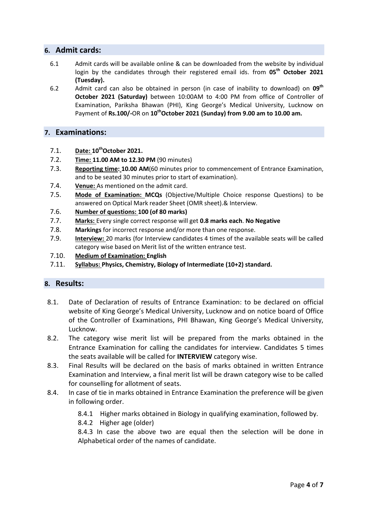# **6. Admit cards:**

- 6.1 Admit cards will be available online & can be downloaded from the website by individual login by the candidates through their registered email ids. from **05th October 2021 (Tuesday).**
- 6.2 Admit card can also be obtained in person (in case of inability to download) on **09th October 2021 (Saturday)** between 10:00AM to 4:00 PM from office of Controller of Examination, Pariksha Bhawan (PHI), King George's Medical University, Lucknow on Payment of **Rs.100/-**OR on **10thOctober 2021 (Sunday) from 9.00 am to 10.00 am.**

### **7. Examinations:**

- 7.1. **Date: 10thOctober 2021.**
- 7.2. **Time: 11.00 AM to 12.30 PM** (90 minutes)
- 7.3. **Reporting time: 10.00 AM**(60 minutes prior to commencement of Entrance Examination, and to be seated 30 minutes prior to start of examination).
- 7.4. **Venue:** As mentioned on the admit card.
- 7.5. **Mode of Examination: MCQs** (Objective/Multiple Choice response Questions) to be answered on Optical Mark reader Sheet (OMR sheet).& Interview.
- 7.6. **Number of questions: 100 (of 80 marks)**
- 7.7. **Marks:** Every single correct response will get **0.8 marks each**. **No Negative**
- 7.8. **Markings** for incorrect response and/or more than one response.
- 7.9. **Interview:** 20 marks (for Interview candidates 4 times of the available seats will be called category wise based on Merit list of the written entrance test.
- 7.10. **Medium of Examination: English**
- 7.11. **Syllabus: Physics, Chemistry, Biology of Intermediate (10+2) standard.**

#### **8. Results:**

- 8.1. Date of Declaration of results of Entrance Examination: to be declared on official website of King George's Medical University, Lucknow and on notice board of Office of the Controller of Examinations, PHI Bhawan, King George's Medical University, Lucknow.
- 8.2. The category wise merit list will be prepared from the marks obtained in the Entrance Examination for calling the candidates for interview. Candidates 5 times the seats available will be called for **INTERVIEW** category wise.
- 8.3. Final Results will be declared on the basis of marks obtained in written Entrance Examination and Interview, a final merit list will be drawn category wise to be called for counselling for allotment of seats.
- 8.4. In case of tie in marks obtained in Entrance Examination the preference will be given in following order.
	- 8.4.1 Higher marks obtained in Biology in qualifying examination, followed by.
	- 8.4.2 Higher age (older)

8.4.3 In case the above two are equal then the selection will be done in Alphabetical order of the names of candidate.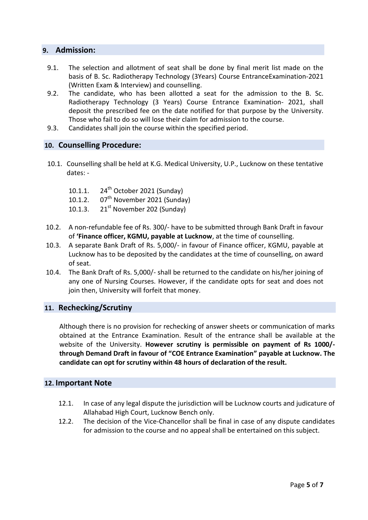## **9. Admission:**

- 9.1. The selection and allotment of seat shall be done by final merit list made on the basis of B. Sc. Radiotherapy Technology (3Years) Course EntranceExamination-2021 (Written Exam & Interview) and counselling.
- 9.2. The candidate, who has been allotted a seat for the admission to the B. Sc. Radiotherapy Technology (3 Years) Course Entrance Examination- 2021, shall deposit the prescribed fee on the date notified for that purpose by the University. Those who fail to do so will lose their claim for admission to the course.
- 9.3. Candidates shall join the course within the specified period.

## **10. Counselling Procedure:**

- 10.1. Counselling shall be held at K.G. Medical University, U.P., Lucknow on these tentative dates: -
	- 10.1.1. 24<sup>th</sup> October 2021 (Sunday)
	- 10.1.2.  $07<sup>th</sup>$  November 2021 (Sunday)
	- 10.1.3.  $21^{st}$  November 202 (Sunday)
- 10.2. A non-refundable fee of Rs. 300/- have to be submitted through Bank Draft in favour of **'Finance officer, KGMU, payable at Lucknow**, at the time of counselling.
- 10.3. A separate Bank Draft of Rs. 5,000/- in favour of Finance officer, KGMU, payable at Lucknow has to be deposited by the candidates at the time of counselling, on award of seat.
- 10.4. The Bank Draft of Rs. 5,000/- shall be returned to the candidate on his/her joining of any one of Nursing Courses. However, if the candidate opts for seat and does not join then, University will forfeit that money.

#### **11. Rechecking/Scrutiny**

Although there is no provision for rechecking of answer sheets or communication of marks obtained at the Entrance Examination. Result of the entrance shall be available at the website of the University. **However scrutiny is permissible on payment of Rs 1000/ through Demand Draft in favour of "COE Entrance Examination" payable at Lucknow. The candidate can opt for scrutiny within 48 hours of declaration of the result.**

#### **12. Important Note**

- 12.1. In case of any legal dispute the jurisdiction will be Lucknow courts and judicature of Allahabad High Court, Lucknow Bench only.
- 12.2. The decision of the Vice-Chancellor shall be final in case of any dispute candidates for admission to the course and no appeal shall be entertained on this subject.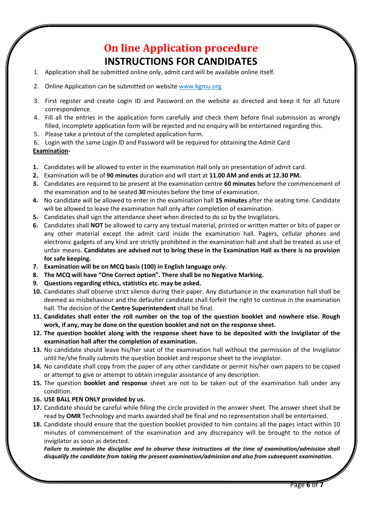# **On line Application procedure INSTRUCTIONS FOR CANDIDATES**

- 1. Application shall be submitted online only, admit card will be available online itself.
- 2. Online Application can be submitted on website [www.kgmu.org](http://www.kgmu.org/)
- 3. First register and create Login ID and Password on the website as directed and keep it for all future correspondence.
- 4. Fill all the entries in the application form carefully and check them before final submission as wrongly filled, incomplete application form will be rejected and no enquiry will be entertained regarding this.
- 5. Please take a printout of the completed application form.
- 6. Login with the same Login ID and Password will be required for obtaining the Admit Card

#### **Examination-**

- **1.** Candidates will be allowed to enter in the examination Hall only on presentation of admit card.
- **2.** Examination will be of **90 minutes** duration and will start at **11.00 AM and ends at 12.30 PM.**
- **3.** Candidates are required to be present at the examination centre **60 minutes** before the commencement of the examination and to be seated **30** minutes before the time of examination.
- **4.** No candidate will be allowed to enter in the examination hall **15 minutes** after the seating time. Candidate will be allowed to leave the examination hall only after completion of examination.
- **5.** Candidates shall sign the attendance sheet when directed to do so by the Invigilators.
- **6.** Candidates shall **NOT** be allowed to carry any textual material, printed or written matter or bits of paper or any other material except the admit card inside the examination hall. Pagers, cellular phones and electronic gadgets of any kind are strictly prohibited in the examination hall and shall be treated as use of unfair means. **Candidates are advised not to bring these in the Examination Hall as there is no provision for safe keeping.**
- **7. Examination will be on MCQ basis (100) in English language only.**
- **8. The MCQ will have "One Correct option". There shall be no Negative Marking.**
- **9. Questions regarding ethics, statistics etc. may be asked.**
- **10.** Candidates shall observe strict silence during their paper. Any disturbance in the examination hall shall be deemed as misbehaviour and the defaulter candidate shall forfeit the right to continue in the examination hall. The decision of the **Centre Superintendent** shall be final.
- **11. Candidates shall enter the roll number on the top of the question booklet and nowhere else. Rough work, if any, may be done on the question booklet and not on the response sheet.**
- **12. The question booklet along with the response sheet have to be deposited with the Invigilator of the examination hall after the completion of examination.**
- **13.** No candidate should leave his/her seat of the examination hall without the permission of the Invigilator until he/she finally submits the question booklet and response sheet to the invigilator.
- **14.** No candidate shall copy from the paper of any other candidate or permit his/her own papers to be copied or attempt to give or attempt to obtain irregular assistance of any description.
- **15.** The question **booklet and response** sheet are not to be taken out of the examination hall under any condition.
- **16. USE BALL PEN ONLY provided by us.**
- **17.** Candidate should be careful while filling the circle provided in the answer sheet. The answer sheet shall be read by **OMR** Technology and marks awarded shall be final and no representation shall be entertained.
- **18.** Candidate should ensure that the question booklet provided to him contains all the pages intact within 10 minutes of commencement of the examination and any discrepancy will be brought to the notice of invigilator as soon as detected.

*Failure to maintain the discipline and to observe these instructions at the time of examination/admission shall disqualify the candidate from taking the present examination/admission and also from subsequent examination.*